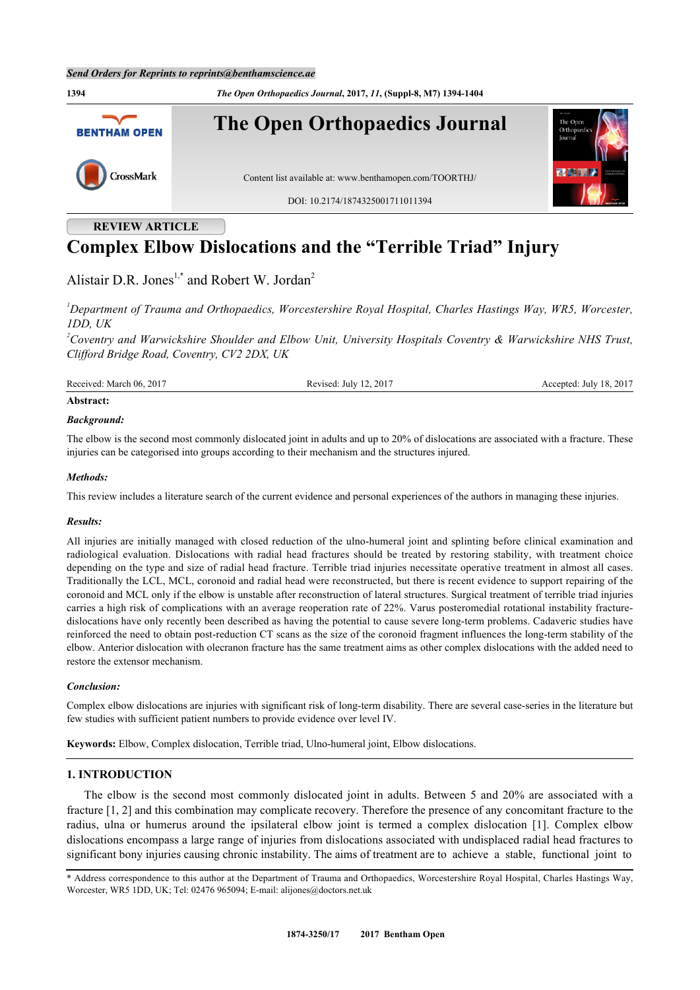

# **REVIEW ARTICLE**

# **Complex Elbow Dislocations and the "Terrible Triad" Injury**

Alistair D.R. Jones<sup>[1](#page-0-0),[\\*](#page-0-1)</sup> and Robert W. Jordan<sup>[2](#page-0-2)</sup>

<span id="page-0-0"></span>*<sup>1</sup>Department of Trauma and Orthopaedics, Worcestershire Royal Hospital, Charles Hastings Way, WR5, Worcester, 1DD, UK*

<span id="page-0-2"></span>*<sup>2</sup>Coventry and Warwickshire Shoulder and Elbow Unit, University Hospitals Coventry & Warwickshire NHS Trust, Clifford Bridge Road, Coventry, CV2 2DX, UK*

Received: March 06, 2017 Revised: July 12, 2017 Accepted: July 18, 2017

# **Abstract:**

#### *Background:*

The elbow is the second most commonly dislocated joint in adults and up to 20% of dislocations are associated with a fracture. These injuries can be categorised into groups according to their mechanism and the structures injured.

#### *Methods:*

This review includes a literature search of the current evidence and personal experiences of the authors in managing these injuries.

#### *Results:*

All injuries are initially managed with closed reduction of the ulno-humeral joint and splinting before clinical examination and radiological evaluation. Dislocations with radial head fractures should be treated by restoring stability, with treatment choice depending on the type and size of radial head fracture. Terrible triad injuries necessitate operative treatment in almost all cases. Traditionally the LCL, MCL, coronoid and radial head were reconstructed, but there is recent evidence to support repairing of the coronoid and MCL only if the elbow is unstable after reconstruction of lateral structures. Surgical treatment of terrible triad injuries carries a high risk of complications with an average reoperation rate of 22%. Varus posteromedial rotational instability fracturedislocations have only recently been described as having the potential to cause severe long-term problems. Cadaveric studies have reinforced the need to obtain post-reduction CT scans as the size of the coronoid fragment influences the long-term stability of the elbow. Anterior dislocation with olecranon fracture has the same treatment aims as other complex dislocations with the added need to restore the extensor mechanism.

#### *Conclusion:*

Complex elbow dislocations are injuries with significant risk of long-term disability. There are several case-series in the literature but few studies with sufficient patient numbers to provide evidence over level IV.

**Keywords:** Elbow, Complex dislocation, Terrible triad, Ulno-humeral joint, Elbow dislocations.

#### **1. INTRODUCTION**

The elbow is the second most commonly dislocated joint in adults. Between 5 and 20% are associated with a fracture [[1,](#page-7-0) [2\]](#page-7-1) and this combination may complicate recovery. Therefore the presence of any concomitant fracture to the radius, ulna or humerus around the ipsilateral elbow joint is termed a complex dislocation [\[1](#page-7-0)]. Complex elbow dislocations encompass a large range of injuries from dislocations associated with undisplaced radial head fractures to significant bony injuries causing chronic instability. The aims of treatment are to achieve a stable, functional joint to

<span id="page-0-1"></span>\* Address correspondence to this author at the Department of Trauma and Orthopaedics, Worcestershire Royal Hospital, Charles Hastings Way, Worcester, WR5 1DD, UK; Tel: 02476 965094; E-mail: [alijones@doctors.net.uk](mailto:alijones@doctors.net.uk)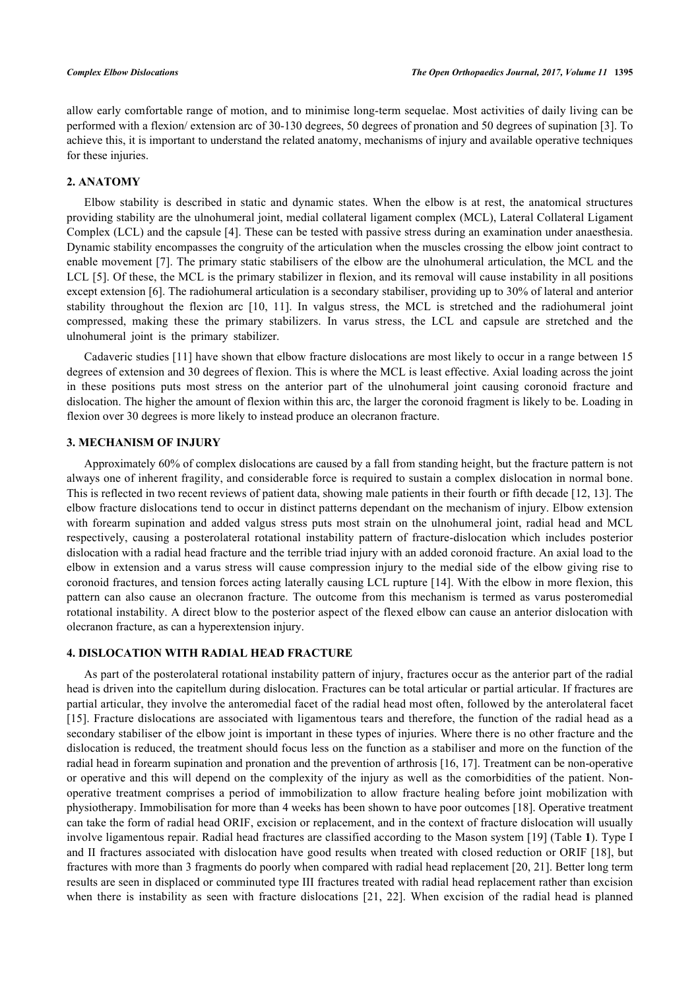allow early comfortable range of motion, and to minimise long-term sequelae. Most activities of daily living can be performed with a flexion/ extension arc of 30-130 degrees, 50 degrees of pronation and 50 degrees of supination [[3](#page-7-2)]. To achieve this, it is important to understand the related anatomy, mechanisms of injury and available operative techniques for these injuries.

#### **2. ANATOMY**

Elbow stability is described in static and dynamic states. When the elbow is at rest, the anatomical structures providing stability are the ulnohumeral joint, medial collateral ligament complex (MCL), Lateral Collateral Ligament Complex (LCL) and the capsule [\[4](#page-7-3)]. These can be tested with passive stress during an examination under anaesthesia. Dynamic stability encompasses the congruity of the articulation when the muscles crossing the elbow joint contract to enable movement [[7](#page-7-4)]. The primary static stabilisers of the elbow are the ulnohumeral articulation, the MCL and the LCL [\[5](#page-7-5)]. Of these, the MCL is the primary stabilizer in flexion, and its removal will cause instability in all positions except extension [[6\]](#page-7-6). The radiohumeral articulation is a secondary stabiliser, providing up to 30% of lateral and anterior stability throughout the flexion arc[[10](#page-7-7), [11\]](#page-7-8). In valgus stress, the MCL is stretched and the radiohumeral joint compressed, making these the primary stabilizers. In varus stress, the LCL and capsule are stretched and the ulnohumeral joint is the primary stabilizer.

Cadaveric studies [\[11](#page-7-8)] have shown that elbow fracture dislocations are most likely to occur in a range between 15 degrees of extension and 30 degrees of flexion. This is where the MCL is least effective. Axial loading across the joint in these positions puts most stress on the anterior part of the ulnohumeral joint causing coronoid fracture and dislocation. The higher the amount of flexion within this arc, the larger the coronoid fragment is likely to be. Loading in flexion over 30 degrees is more likely to instead produce an olecranon fracture.

# **3. MECHANISM OF INJURY**

Approximately 60% of complex dislocations are caused by a fall from standing height, but the fracture pattern is not always one of inherent fragility, and considerable force is required to sustain a complex dislocation in normal bone. This is reflected in two recent reviews of patient data, showing male patients in their fourth or fifth decade [[12,](#page-7-9) [13\]](#page-8-0). The elbow fracture dislocations tend to occur in distinct patterns dependant on the mechanism of injury. Elbow extension with forearm supination and added valgus stress puts most strain on the ulnohumeral joint, radial head and MCL respectively, causing a posterolateral rotational instability pattern of fracture-dislocation which includes posterior dislocation with a radial head fracture and the terrible triad injury with an added coronoid fracture. An axial load to the elbow in extension and a varus stress will cause compression injury to the medial side of the elbow giving rise to coronoid fractures, and tension forces acting laterally causing LCL rupture [[14](#page-8-1)]. With the elbow in more flexion, this pattern can also cause an olecranon fracture. The outcome from this mechanism is termed as varus posteromedial rotational instability. A direct blow to the posterior aspect of the flexed elbow can cause an anterior dislocation with olecranon fracture, as can a hyperextension injury.

# **4. DISLOCATION WITH RADIAL HEAD FRACTURE**

As part of the posterolateral rotational instability pattern of injury, fractures occur as the anterior part of the radial head is driven into the capitellum during dislocation. Fractures can be total articular or partial articular. If fractures are partial articular, they involve the anteromedial facet of the radial head most often, followed by the anterolateral facet [\[15](#page-8-2)]. Fracture dislocations are associated with ligamentous tears and therefore, the function of the radial head as a secondary stabiliser of the elbow joint is important in these types of injuries. Where there is no other fracture and the dislocation is reduced, the treatment should focus less on the function as a stabiliser and more on the function of the radial head in forearm supination and pronation and the prevention of arthrosis [[16,](#page-8-3) [17\]](#page-8-4). Treatment can be non-operative or operative and this will depend on the complexity of the injury as well as the comorbidities of the patient. Nonoperative treatment comprises a period of immobilization to allow fracture healing before joint mobilization with physiotherapy. Immobilisation for more than 4 weeks has been shown to have poor outcomes [[18\]](#page-8-5). Operative treatment can take the form of radial head ORIF, excision or replacement, and in the context of fracture dislocation will usually involve ligamentous repair. Radial head fractures are classified according to the Mason system [[19](#page-8-6)] (Table **[1](#page-2-0)**). Type I and II fractures associated with dislocation have good results when treated with closed reduction or ORIF [[18](#page-8-5)], but fractures with more than 3 fragments do poorly when compared with radial head replacement [[20,](#page-8-7) [21](#page-8-8)]. Better long term results are seen in displaced or comminuted type III fractures treated with radial head replacement rather than excision when there is instability as seen with fracture dislocations [\[21,](#page-8-8) [22](#page-8-9)]. When excision of the radial head is planned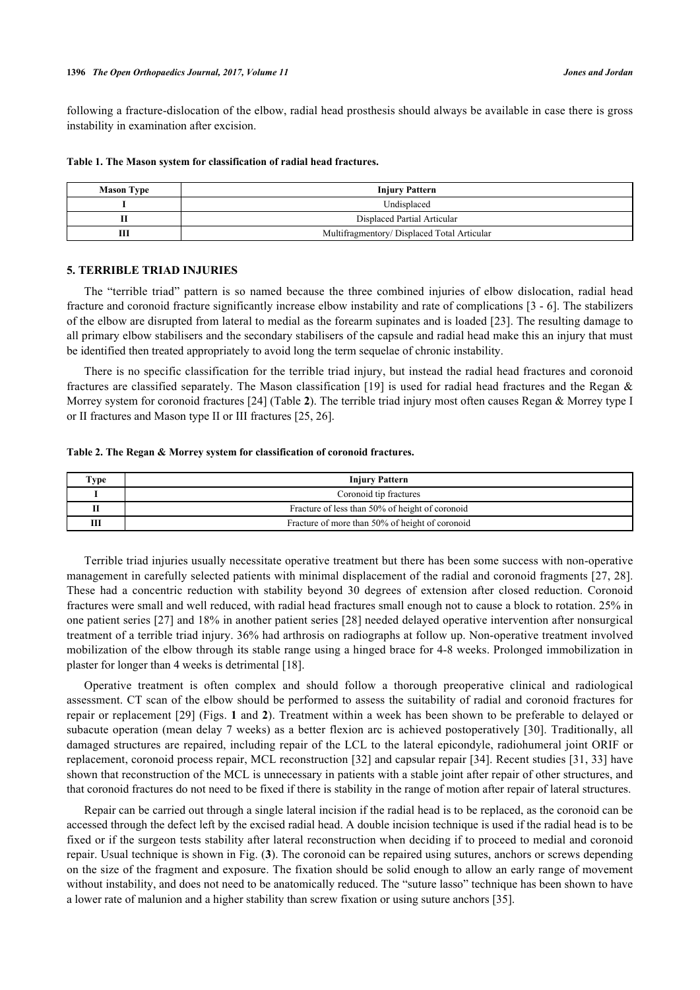following a fracture-dislocation of the elbow, radial head prosthesis should always be available in case there is gross instability in examination after excision.

| <b>Mason Type</b> | <b>Injury Pattern</b>                      |
|-------------------|--------------------------------------------|
|                   | Undisplaced                                |
|                   | Displaced Partial Articular                |
|                   | Multifragmentory/Displaced Total Articular |

#### <span id="page-2-0"></span>**Table 1. The Mason system for classification of radial head fractures.**

#### **5. TERRIBLE TRIAD INJURIES**

The "terrible triad" pattern is so named because the three combined injuries of elbow dislocation, radial head fracture and coronoid fracture significantly increase elbow instability and rate of complications [\[3](#page-7-2) - [6](#page-7-6)]. The stabilizers of the elbow are disrupted from lateral to medial as the forearm supinates and is loaded [[23\]](#page-8-10). The resulting damage to all primary elbow stabilisers and the secondary stabilisers of the capsule and radial head make this an injury that must be identified then treated appropriately to avoid long the term sequelae of chronic instability.

There is no specific classification for the terrible triad injury, but instead the radial head fractures and coronoid fractures are classified separately. The Mason classification [\[19](#page-8-6)] is used for radial head fractures and the Regan & Morrey system for coronoid fractures [[24\]](#page-8-11) (Table **[2](#page-2-1)**). The terrible triad injury most often causes Regan & Morrey type I or II fractures and Mason type II or III fractures [[25,](#page-8-12) [26\]](#page-8-13).

#### <span id="page-2-1"></span>**Table 2. The Regan & Morrey system for classification of coronoid fractures.**

| Type | <b>Injury Pattern</b>                           |
|------|-------------------------------------------------|
|      | Coronoid tip fractures                          |
|      | Fracture of less than 50% of height of coronoid |
| Ш    | Fracture of more than 50% of height of coronoid |

Terrible triad injuries usually necessitate operative treatment but there has been some success with non-operative management in carefully selected patients with minimal displacement of the radial and coronoid fragments [[27,](#page-8-14) [28\]](#page-8-15). These had a concentric reduction with stability beyond 30 degrees of extension after closed reduction. Coronoid fractures were small and well reduced, with radial head fractures small enough not to cause a block to rotation. 25% in one patient series [\[27\]](#page-8-14) and 18% in another patient series [[28](#page-8-15)] needed delayed operative intervention after nonsurgical treatment of a terrible triad injury. 36% had arthrosis on radiographs at follow up. Non-operative treatment involved mobilization of the elbow through its stable range using a hinged brace for 4-8 weeks. Prolonged immobilization in plaster for longer than 4 weeks is detrimental [\[18](#page-8-5)].

Operative treatment is often complex and should follow a thorough preoperative clinical and radiological assessment. CT scan of the elbow should be performed to assess the suitability of radial and coronoid fractures for repair or replacement [[29\]](#page-8-16) (Figs. **[1](#page-2-2)** and **[2](#page-3-0)**). Treatment within a week has been shown to be preferable to delayed or subacute operation (mean delay 7 weeks) as a better flexion arc is achieved postoperatively [[30](#page-8-17)]. Traditionally, all damaged structures are repaired, including repair of the LCL to the lateral epicondyle, radiohumeral joint ORIF or replacement, coronoid process repair, MCL reconstruction [\[32\]](#page-8-18) and capsular repair [[34](#page-8-19)]. Recent studies [[31,](#page-8-20) [33](#page-8-21)] have shown that reconstruction of the MCL is unnecessary in patients with a stable joint after repair of other structures, and that coronoid fractures do not need to be fixed if there is stability in the range of motion after repair of lateral structures.

<span id="page-2-2"></span>Repair can be carried out through a single lateral incision if the radial head is to be replaced, as the coronoid can be accessed through the defect left by the excised radial head. A double incision technique is used if the radial head is to be fixed or if the surgeon tests stability after lateral reconstruction when deciding if to proceed to medial and coronoid repair. Usual technique is shown in Fig. (**[3](#page-3-1)**). The coronoid can be repaired using sutures, anchors or screws depending on the size of the fragment and exposure. The fixation should be solid enough to allow an early range of movement without instability, and does not need to be anatomically reduced. The "suture lasso" technique has been shown to have a lower rate of malunion and a higher stability than screw fixation or using suture anchors [\[35](#page-9-0)].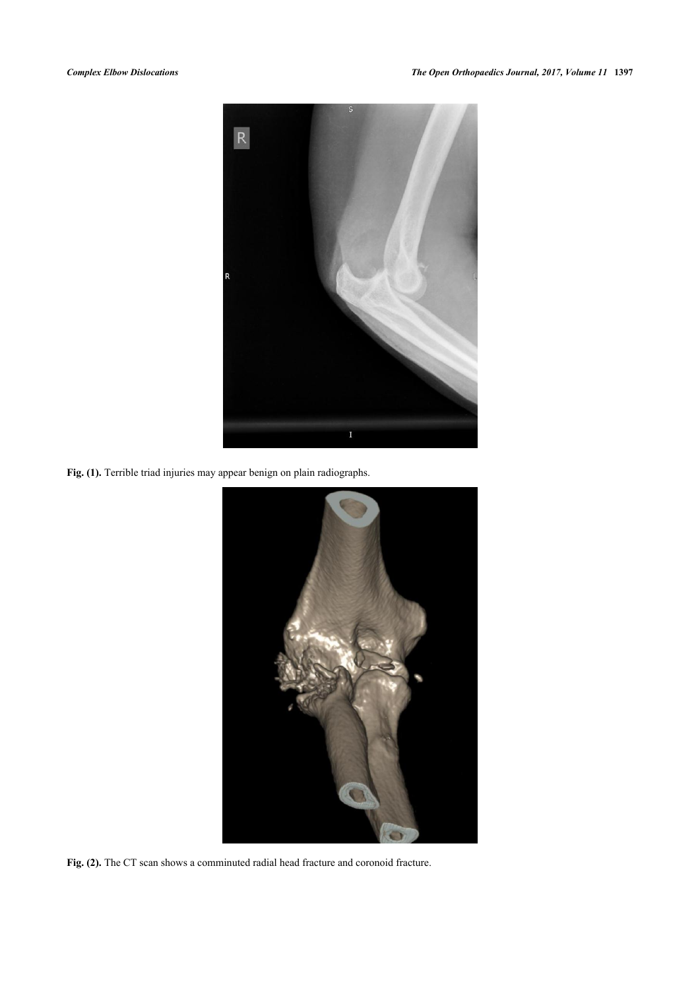

Fig. (1). Terrible triad injuries may appear benign on plain radiographs.

<span id="page-3-1"></span><span id="page-3-0"></span>

Fig. (2). The CT scan shows a comminuted radial head fracture and coronoid fracture.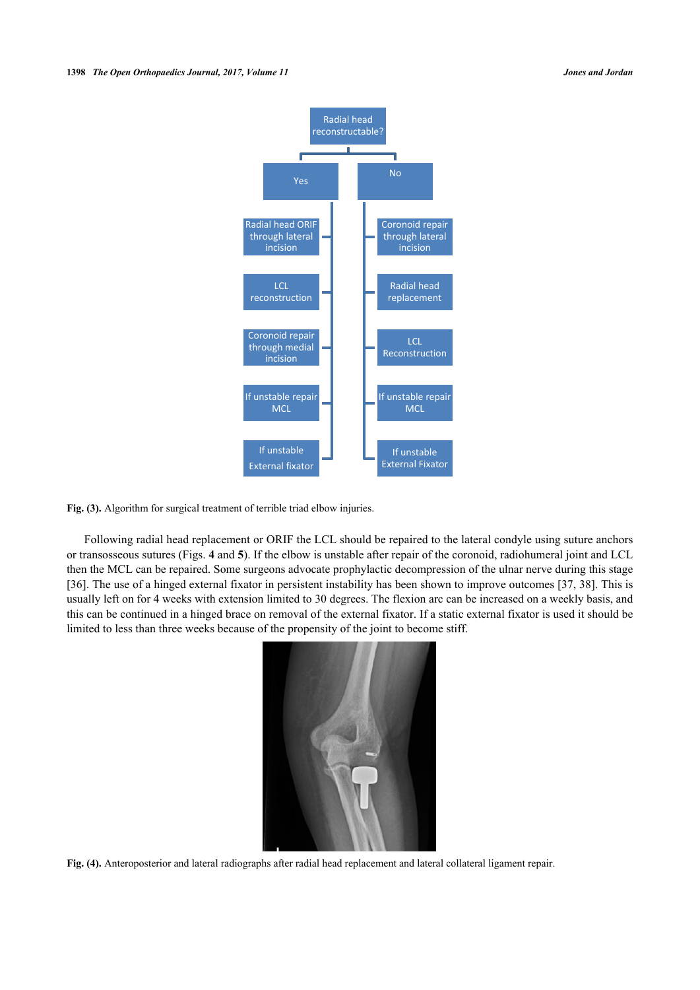

**Fig. (3).** Algorithm for surgical treatment of terrible triad elbow injuries.

Following radial head replacement or ORIF the LCL should be repaired to the lateral condyle using suture anchors or transosseous sutures (Figs. **[4](#page-4-0)** and **[5](#page-4-1)**). If the elbow is unstable after repair of the coronoid, radiohumeral joint and LCL then the MCL can be repaired. Some surgeons advocate prophylactic decompression of the ulnar nerve during this stage [\[36](#page-9-1)]. The use of a hinged external fixator in persistent instability has been shown to improve outcomes [[37,](#page-9-2) [38\]](#page-9-3). This is usually left on for 4 weeks with extension limited to 30 degrees. The flexion arc can be increased on a weekly basis, and this can be continued in a hinged brace on removal of the external fixator. If a static external fixator is used it should be limited to less than three weeks because of the propensity of the joint to become stiff.

<span id="page-4-1"></span><span id="page-4-0"></span>

**Fig. (4).** Anteroposterior and lateral radiographs after radial head replacement and lateral collateral ligament repair.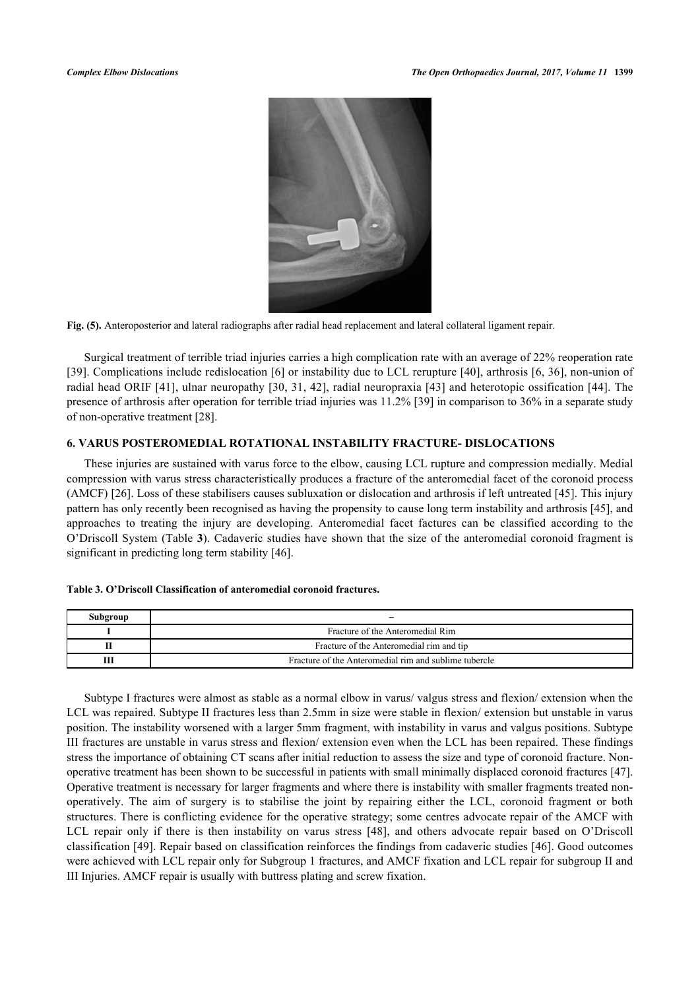

**Fig. (5).** Anteroposterior and lateral radiographs after radial head replacement and lateral collateral ligament repair.

Surgical treatment of terrible triad injuries carries a high complication rate with an average of 22% reoperation rate [\[39](#page-9-4)]. Complications include redislocation [[6\]](#page-7-6) or instability due to LCL rerupture [[40](#page-9-5)], arthrosis [[6,](#page-7-6) [36](#page-9-1)], non-union of radial head ORIF [[41\]](#page-9-6), ulnar neuropathy [[30](#page-8-17), [31](#page-8-20), [42](#page-9-7)], radial neuropraxia [\[43\]](#page-9-8) and heterotopic ossification [\[44\]](#page-9-9). The presence of arthrosis after operation for terrible triad injuries was 11.2% [[39\]](#page-9-4) in comparison to 36% in a separate study of non-operative treatment [\[28](#page-8-15)].

# **6. VARUS POSTEROMEDIAL ROTATIONAL INSTABILITY FRACTURE- DISLOCATIONS**

These injuries are sustained with varus force to the elbow, causing LCL rupture and compression medially. Medial compression with varus stress characteristically produces a fracture of the anteromedial facet of the coronoid process (AMCF) [[26\]](#page-8-13). Loss of these stabilisers causes subluxation or dislocation and arthrosis if left untreated [\[45](#page-9-10)]. This injury pattern has only recently been recognised as having the propensity to cause long term instability and arthrosis [[45\]](#page-9-10), and approaches to treating the injury are developing. Anteromedial facet factures can be classified according to the O'Driscoll System (Table **[3](#page-5-0)**). Cadaveric studies have shown that the size of the anteromedial coronoid fragment is significant in predicting long term stability [[46\]](#page-9-11).

| Subgroup |                                                       |
|----------|-------------------------------------------------------|
|          | Fracture of the Anteromedial Rim                      |
|          | Fracture of the Anteromedial rim and tip              |
|          | Fracture of the Anteromedial rim and sublime tubercle |

#### <span id="page-5-0"></span>**Table 3. O'Driscoll Classification of anteromedial coronoid fractures.**

Subtype I fractures were almost as stable as a normal elbow in varus/ valgus stress and flexion/ extension when the LCL was repaired. Subtype II fractures less than 2.5mm in size were stable in flexion/ extension but unstable in varus position. The instability worsened with a larger 5mm fragment, with instability in varus and valgus positions. Subtype III fractures are unstable in varus stress and flexion/ extension even when the LCL has been repaired. These findings stress the importance of obtaining CT scans after initial reduction to assess the size and type of coronoid fracture. Nonoperative treatment has been shown to be successful in patients with small minimally displaced coronoid fractures [[47\]](#page-9-12). Operative treatment is necessary for larger fragments and where there is instability with smaller fragments treated nonoperatively. The aim of surgery is to stabilise the joint by repairing either the LCL, coronoid fragment or both structures. There is conflicting evidence for the operative strategy; some centres advocate repair of the AMCF with LCL repair only if there is then instability on varus stress[[48\]](#page-9-13), and others advocate repair based on O'Driscoll classification [[49\]](#page-9-14). Repair based on classification reinforces the findings from cadaveric studies [\[46\]](#page-9-11). Good outcomes were achieved with LCL repair only for Subgroup 1 fractures, and AMCF fixation and LCL repair for subgroup II and III Injuries. AMCF repair is usually with buttress plating and screw fixation.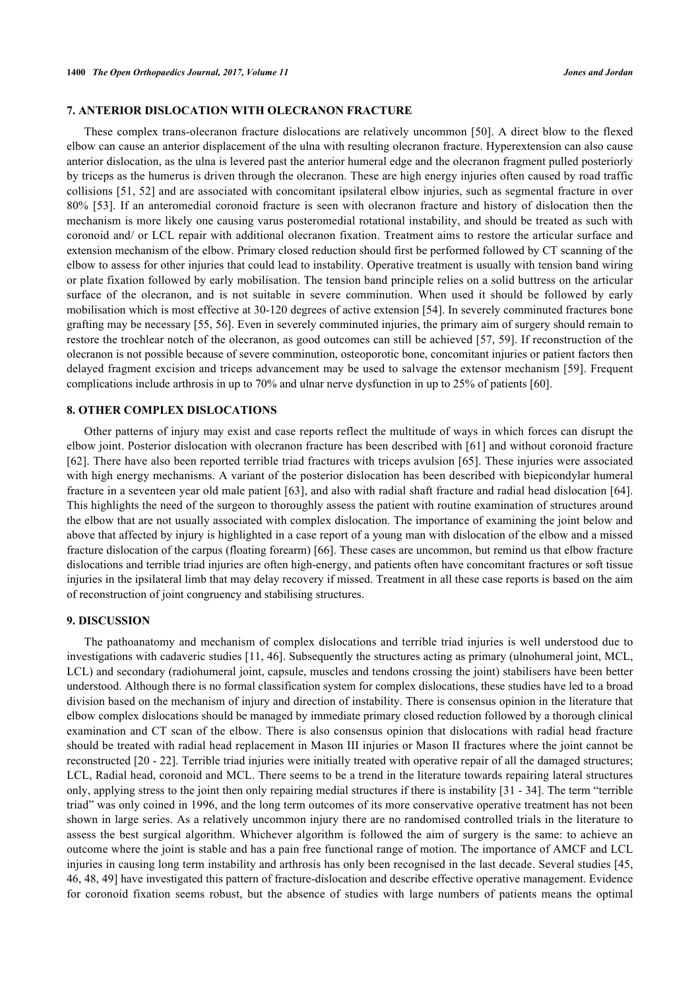#### **7. ANTERIOR DISLOCATION WITH OLECRANON FRACTURE**

These complex trans-olecranon fracture dislocations are relatively uncommon [\[50](#page-9-15)]. A direct blow to the flexed elbow can cause an anterior displacement of the ulna with resulting olecranon fracture. Hyperextension can also cause anterior dislocation, as the ulna is levered past the anterior humeral edge and the olecranon fragment pulled posteriorly by triceps as the humerus is driven through the olecranon. These are high energy injuries often caused by road traffic collisions [[51,](#page-9-16) [52\]](#page-9-17) and are associated with concomitant ipsilateral elbow injuries, such as segmental fracture in over 80% [\[53\]](#page-9-18). If an anteromedial coronoid fracture is seen with olecranon fracture and history of dislocation then the mechanism is more likely one causing varus posteromedial rotational instability, and should be treated as such with coronoid and/ or LCL repair with additional olecranon fixation. Treatment aims to restore the articular surface and extension mechanism of the elbow. Primary closed reduction should first be performed followed by CT scanning of the elbow to assess for other injuries that could lead to instability. Operative treatment is usually with tension band wiring or plate fixation followed by early mobilisation. The tension band principle relies on a solid buttress on the articular surface of the olecranon, and is not suitable in severe comminution. When used it should be followed by early mobilisation which is most effective at 30-120 degrees of active extension [[54\]](#page-9-19). In severely comminuted fractures bone grafting may be necessary [\[55](#page-10-0), [56](#page-10-1)]. Even in severely comminuted injuries, the primary aim of surgery should remain to restore the trochlear notch of the olecranon, as good outcomes can still be achieved [\[57,](#page-10-2) [59](#page-10-3)]. If reconstruction of the olecranon is not possible because of severe comminution, osteoporotic bone, concomitant injuries or patient factors then delayed fragment excision and triceps advancement may be used to salvage the extensor mechanism [[59](#page-10-3)]. Frequent complications include arthrosis in up to 70% and ulnar nerve dysfunction in up to 25% of patients [\[60](#page-10-4)].

# **8. OTHER COMPLEX DISLOCATIONS**

Other patterns of injury may exist and case reports reflect the multitude of ways in which forces can disrupt the elbow joint. Posterior dislocation with olecranon fracture has been described with [[61\]](#page-10-5) and without coronoid fracture [\[62](#page-10-6)]. There have also been reported terrible triad fractures with triceps avulsion [\[65\]](#page-10-7). These injuries were associated with high energy mechanisms. A variant of the posterior dislocation has been described with biepicondylar humeral fracture in a seventeen year old male patient [\[63\]](#page-10-8), and also with radial shaft fracture and radial head dislocation [\[64\]](#page-10-9). This highlights the need of the surgeon to thoroughly assess the patient with routine examination of structures around the elbow that are not usually associated with complex dislocation. The importance of examining the joint below and above that affected by injury is highlighted in a case report of a young man with dislocation of the elbow and a missed fracture dislocation of the carpus (floating forearm) [\[66](#page-10-10)]. These cases are uncommon, but remind us that elbow fracture dislocations and terrible triad injuries are often high-energy, and patients often have concomitant fractures or soft tissue injuries in the ipsilateral limb that may delay recovery if missed. Treatment in all these case reports is based on the aim of reconstruction of joint congruency and stabilising structures.

#### **9. DISCUSSION**

The pathoanatomy and mechanism of complex dislocations and terrible triad injuries is well understood due to investigations with cadaveric studies [[11,](#page-7-8) [46](#page-9-11)]. Subsequently the structures acting as primary (ulnohumeral joint, MCL, LCL) and secondary (radiohumeral joint, capsule, muscles and tendons crossing the joint) stabilisers have been better understood. Although there is no formal classification system for complex dislocations, these studies have led to a broad division based on the mechanism of injury and direction of instability. There is consensus opinion in the literature that elbow complex dislocations should be managed by immediate primary closed reduction followed by a thorough clinical examination and CT scan of the elbow. There is also consensus opinion that dislocations with radial head fracture should be treated with radial head replacement in Mason III injuries or Mason II fractures where the joint cannot be reconstructed [\[20](#page-8-7) - [22](#page-8-9)]. Terrible triad injuries were initially treated with operative repair of all the damaged structures; LCL, Radial head, coronoid and MCL. There seems to be a trend in the literature towards repairing lateral structures only, applying stress to the joint then only repairing medial structures if there is instability [\[31](#page-8-20) - [34](#page-8-19)]. The term "terrible triad" was only coined in 1996, and the long term outcomes of its more conservative operative treatment has not been shown in large series. As a relatively uncommon injury there are no randomised controlled trials in the literature to assess the best surgical algorithm. Whichever algorithm is followed the aim of surgery is the same: to achieve an outcome where the joint is stable and has a pain free functional range of motion. The importance of AMCF and LCL injuries in causing long term instability and arthrosis has only been recognised in the last decade. Several studies [[45](#page-9-10), [46,](#page-9-11) [48,](#page-9-13) [49\]](#page-9-14) have investigated this pattern of fracture-dislocation and describe effective operative management. Evidence for coronoid fixation seems robust, but the absence of studies with large numbers of patients means the optimal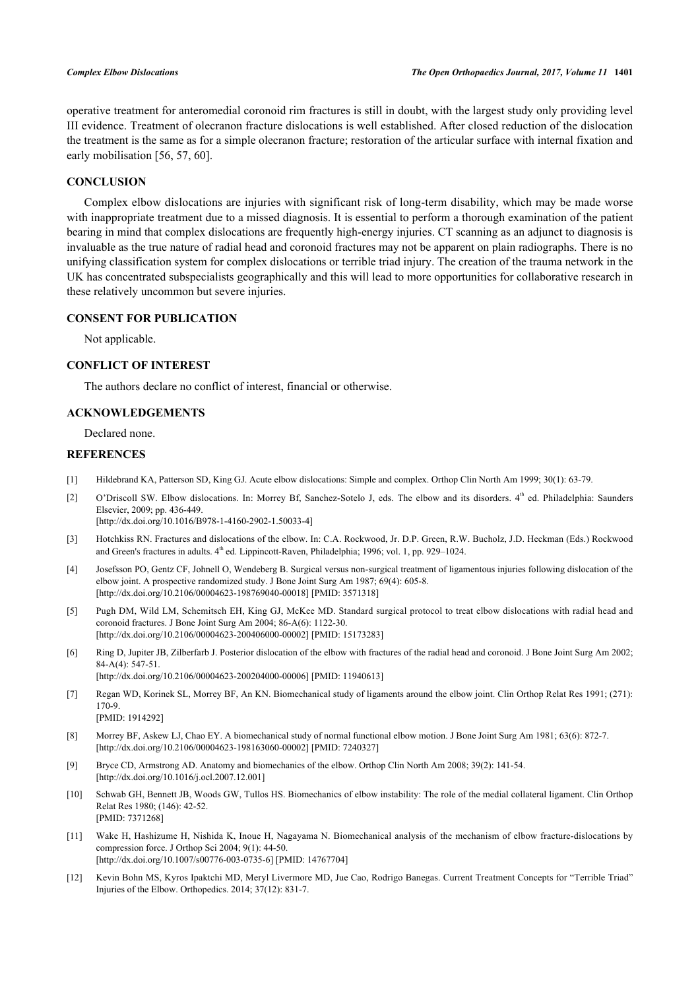operative treatment for anteromedial coronoid rim fractures is still in doubt, with the largest study only providing level III evidence. Treatment of olecranon fracture dislocations is well established. After closed reduction of the dislocation the treatment is the same as for a simple olecranon fracture; restoration of the articular surface with internal fixation and early mobilisation [\[56](#page-10-1), [57](#page-10-2), [60](#page-10-4)].

# **CONCLUSION**

Complex elbow dislocations are injuries with significant risk of long-term disability, which may be made worse with inappropriate treatment due to a missed diagnosis. It is essential to perform a thorough examination of the patient bearing in mind that complex dislocations are frequently high-energy injuries. CT scanning as an adjunct to diagnosis is invaluable as the true nature of radial head and coronoid fractures may not be apparent on plain radiographs. There is no unifying classification system for complex dislocations or terrible triad injury. The creation of the trauma network in the UK has concentrated subspecialists geographically and this will lead to more opportunities for collaborative research in these relatively uncommon but severe injuries.

# **CONSENT FOR PUBLICATION**

Not applicable.

# **CONFLICT OF INTEREST**

The authors declare no conflict of interest, financial or otherwise.

# **ACKNOWLEDGEMENTS**

Declared none.

#### **REFERENCES**

- <span id="page-7-0"></span>[1] Hildebrand KA, Patterson SD, King GJ. Acute elbow dislocations: Simple and complex. Orthop Clin North Am 1999; 30(1): 63-79.
- <span id="page-7-1"></span>[2] O'Driscoll SW. Elbow dislocations. In: Morrey Bf, Sanchez-Sotelo J, eds. The elbow and its disorders. 4<sup>th</sup> ed. Philadelphia: Saunders Elsevier, 2009; pp. 436-449. [\[http://dx.doi.org/10.1016/B978-1-4160-2902-1.50033-4](http://dx.doi.org/10.1016/B978-1-4160-2902-1.50033-4)]
- <span id="page-7-2"></span>[3] Hotchkiss RN. Fractures and dislocations of the elbow. In: C.A. Rockwood, Jr. D.P. Green, R.W. Bucholz, J.D. Heckman (Eds.) Rockwood and Green's fractures in adults.  $4<sup>th</sup>$  ed. Lippincott-Raven, Philadelphia; 1996; vol. 1, pp. 929–1024.
- <span id="page-7-3"></span>[4] Josefsson PO, Gentz CF, Johnell O, Wendeberg B. Surgical versus non-surgical treatment of ligamentous injuries following dislocation of the elbow joint. A prospective randomized study. J Bone Joint Surg Am 1987; 69(4): 605-8. [\[http://dx.doi.org/10.2106/00004623-198769040-00018](http://dx.doi.org/10.2106/00004623-198769040-00018)] [PMID: [3571318\]](http://www.ncbi.nlm.nih.gov/pubmed/3571318)
- <span id="page-7-5"></span>[5] Pugh DM, Wild LM, Schemitsch EH, King GJ, McKee MD. Standard surgical protocol to treat elbow dislocations with radial head and coronoid fractures. J Bone Joint Surg Am 2004; 86-A(6): 1122-30. [\[http://dx.doi.org/10.2106/00004623-200406000-00002](http://dx.doi.org/10.2106/00004623-200406000-00002)] [PMID: [15173283\]](http://www.ncbi.nlm.nih.gov/pubmed/15173283)
- <span id="page-7-6"></span>[6] Ring D, Jupiter JB, Zilberfarb J. Posterior dislocation of the elbow with fractures of the radial head and coronoid. J Bone Joint Surg Am 2002; 84-A(4): 547-51. [\[http://dx.doi.org/10.2106/00004623-200204000-00006](http://dx.doi.org/10.2106/00004623-200204000-00006)] [PMID: [11940613\]](http://www.ncbi.nlm.nih.gov/pubmed/11940613)
- <span id="page-7-4"></span>[7] Regan WD, Korinek SL, Morrey BF, An KN. Biomechanical study of ligaments around the elbow joint. Clin Orthop Relat Res 1991; (271): 170-9. [PMID: [1914292\]](http://www.ncbi.nlm.nih.gov/pubmed/1914292)
- [8] Morrey BF, Askew LJ, Chao EY. A biomechanical study of normal functional elbow motion. J Bone Joint Surg Am 1981; 63(6): 872-7. [\[http://dx.doi.org/10.2106/00004623-198163060-00002](http://dx.doi.org/10.2106/00004623-198163060-00002)] [PMID: [7240327\]](http://www.ncbi.nlm.nih.gov/pubmed/7240327)
- [9] Bryce CD, Armstrong AD. Anatomy and biomechanics of the elbow. Orthop Clin North Am 2008; 39(2): 141-54. [\[http://dx.doi.org/10.1016/j.ocl.2007.12.001\]](http://dx.doi.org/10.1016/j.ocl.2007.12.001)
- <span id="page-7-7"></span>[10] Schwab GH, Bennett JB, Woods GW, Tullos HS. Biomechanics of elbow instability: The role of the medial collateral ligament. Clin Orthop Relat Res 1980; (146): 42-52. [PMID: [7371268\]](http://www.ncbi.nlm.nih.gov/pubmed/7371268)
- <span id="page-7-8"></span>[11] Wake H, Hashizume H, Nishida K, Inoue H, Nagayama N. Biomechanical analysis of the mechanism of elbow fracture-dislocations by compression force. J Orthop Sci 2004; 9(1): 44-50. [\[http://dx.doi.org/10.1007/s00776-003-0735-6\]](http://dx.doi.org/10.1007/s00776-003-0735-6) [PMID: [14767704](http://www.ncbi.nlm.nih.gov/pubmed/14767704)]
- <span id="page-7-9"></span>[12] Kevin Bohn MS, Kyros Ipaktchi MD, Meryl Livermore MD, Jue Cao, Rodrigo Banegas. Current Treatment Concepts for "Terrible Triad" Injuries of the Elbow. Orthopedics. 2014; 37(12): 831-7.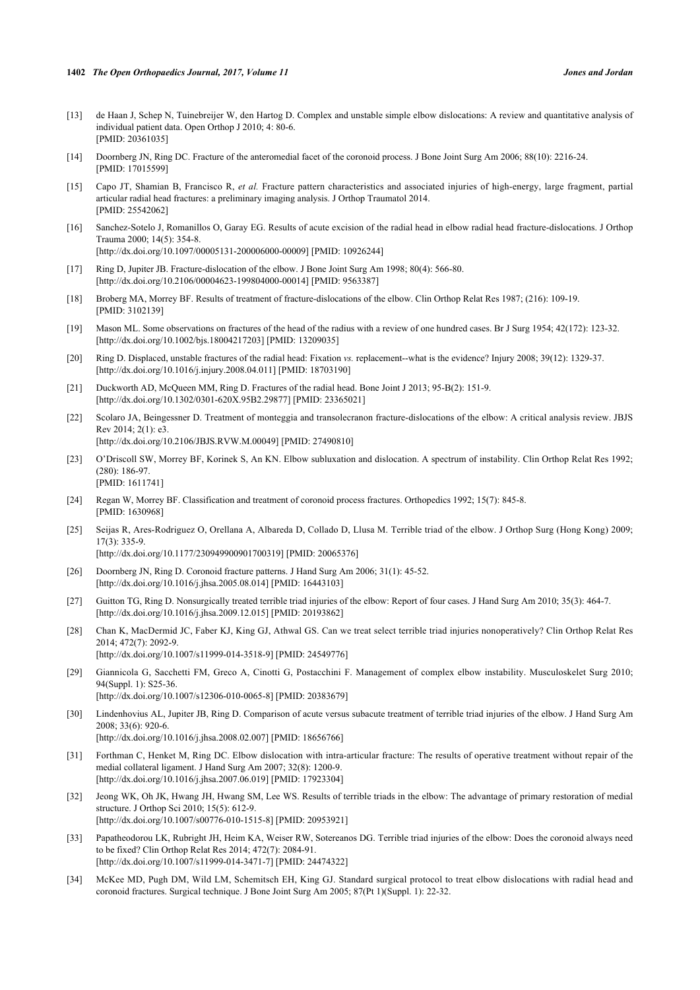- <span id="page-8-0"></span>[13] de Haan J, Schep N, Tuinebreijer W, den Hartog D. Complex and unstable simple elbow dislocations: A review and quantitative analysis of individual patient data. Open Orthop J 2010; 4: 80-6. [PMID: [20361035\]](http://www.ncbi.nlm.nih.gov/pubmed/20361035)
- <span id="page-8-1"></span>[14] Doornberg JN, Ring DC. Fracture of the anteromedial facet of the coronoid process. J Bone Joint Surg Am 2006; 88(10): 2216-24. [PMID: [17015599\]](http://www.ncbi.nlm.nih.gov/pubmed/17015599)
- <span id="page-8-2"></span>[15] Capo JT, Shamian B, Francisco R, *et al.* Fracture pattern characteristics and associated injuries of high-energy, large fragment, partial articular radial head fractures: a preliminary imaging analysis. J Orthop Traumatol 2014. [PMID: [25542062\]](http://www.ncbi.nlm.nih.gov/pubmed/25542062)
- <span id="page-8-3"></span>[16] Sanchez-Sotelo J, Romanillos O, Garay EG. Results of acute excision of the radial head in elbow radial head fracture-dislocations. J Orthop Trauma 2000; 14(5): 354-8. [\[http://dx.doi.org/10.1097/00005131-200006000-00009](http://dx.doi.org/10.1097/00005131-200006000-00009)] [PMID: [10926244\]](http://www.ncbi.nlm.nih.gov/pubmed/10926244)
- <span id="page-8-4"></span>[17] Ring D, Jupiter JB. Fracture-dislocation of the elbow. J Bone Joint Surg Am 1998; 80(4): 566-80. [\[http://dx.doi.org/10.2106/00004623-199804000-00014](http://dx.doi.org/10.2106/00004623-199804000-00014)] [PMID: [9563387\]](http://www.ncbi.nlm.nih.gov/pubmed/9563387)
- <span id="page-8-5"></span>[18] Broberg MA, Morrey BF. Results of treatment of fracture-dislocations of the elbow. Clin Orthop Relat Res 1987; (216): 109-19. [PMID: [3102139\]](http://www.ncbi.nlm.nih.gov/pubmed/3102139)
- <span id="page-8-6"></span>[19] Mason ML. Some observations on fractures of the head of the radius with a review of one hundred cases. Br J Surg 1954; 42(172): 123-32. [\[http://dx.doi.org/10.1002/bjs.18004217203](http://dx.doi.org/10.1002/bjs.18004217203)] [PMID: [13209035\]](http://www.ncbi.nlm.nih.gov/pubmed/13209035)
- <span id="page-8-7"></span>[20] Ring D. Displaced, unstable fractures of the radial head: Fixation *vs.* replacement--what is the evidence? Injury 2008; 39(12): 1329-37. [\[http://dx.doi.org/10.1016/j.injury.2008.04.011](http://dx.doi.org/10.1016/j.injury.2008.04.011)] [PMID: [18703190\]](http://www.ncbi.nlm.nih.gov/pubmed/18703190)
- <span id="page-8-8"></span>[21] Duckworth AD, McQueen MM, Ring D. Fractures of the radial head. Bone Joint J 2013; 95-B(2): 151-9. [\[http://dx.doi.org/10.1302/0301-620X.95B2.29877\]](http://dx.doi.org/10.1302/0301-620X.95B2.29877) [PMID: [23365021](http://www.ncbi.nlm.nih.gov/pubmed/23365021)]
- <span id="page-8-9"></span>[22] Scolaro JA, Beingessner D. Treatment of monteggia and transolecranon fracture-dislocations of the elbow: A critical analysis review. JBJS Rev 2014; 2(1): e3. [\[http://dx.doi.org/10.2106/JBJS.RVW.M.00049\]](http://dx.doi.org/10.2106/JBJS.RVW.M.00049) [PMID: [27490810](http://www.ncbi.nlm.nih.gov/pubmed/27490810)]
- <span id="page-8-10"></span>[23] O'Driscoll SW, Morrey BF, Korinek S, An KN. Elbow subluxation and dislocation. A spectrum of instability. Clin Orthop Relat Res 1992; (280): 186-97. [PMID: [1611741\]](http://www.ncbi.nlm.nih.gov/pubmed/1611741)
- <span id="page-8-11"></span>[24] Regan W, Morrey BF. Classification and treatment of coronoid process fractures. Orthopedics 1992; 15(7): 845-8. [PMID: [1630968\]](http://www.ncbi.nlm.nih.gov/pubmed/1630968)
- <span id="page-8-12"></span>[25] Seijas R, Ares-Rodriguez O, Orellana A, Albareda D, Collado D, Llusa M. Terrible triad of the elbow. J Orthop Surg (Hong Kong) 2009; 17(3): 335-9.

[\[http://dx.doi.org/10.1177/230949900901700319\]](http://dx.doi.org/10.1177/230949900901700319) [PMID: [20065376](http://www.ncbi.nlm.nih.gov/pubmed/20065376)]

- <span id="page-8-13"></span>[26] Doornberg JN, Ring D. Coronoid fracture patterns. J Hand Surg Am 2006; 31(1): 45-52. [\[http://dx.doi.org/10.1016/j.jhsa.2005.08.014\]](http://dx.doi.org/10.1016/j.jhsa.2005.08.014) [PMID: [16443103](http://www.ncbi.nlm.nih.gov/pubmed/16443103)]
- <span id="page-8-14"></span>[27] Guitton TG, Ring D. Nonsurgically treated terrible triad injuries of the elbow: Report of four cases. J Hand Surg Am 2010; 35(3): 464-7. [\[http://dx.doi.org/10.1016/j.jhsa.2009.12.015\]](http://dx.doi.org/10.1016/j.jhsa.2009.12.015) [PMID: [20193862](http://www.ncbi.nlm.nih.gov/pubmed/20193862)]
- <span id="page-8-15"></span>[28] Chan K, MacDermid JC, Faber KJ, King GJ, Athwal GS. Can we treat select terrible triad injuries nonoperatively? Clin Orthop Relat Res 2014; 472(7): 2092-9. [\[http://dx.doi.org/10.1007/s11999-014-3518-9\]](http://dx.doi.org/10.1007/s11999-014-3518-9) [PMID: [24549776](http://www.ncbi.nlm.nih.gov/pubmed/24549776)]
- <span id="page-8-16"></span>[29] Giannicola G, Sacchetti FM, Greco A, Cinotti G, Postacchini F. Management of complex elbow instability. Musculoskelet Surg 2010; 94(Suppl. 1): S25-36. [\[http://dx.doi.org/10.1007/s12306-010-0065-8\]](http://dx.doi.org/10.1007/s12306-010-0065-8) [PMID: [20383679](http://www.ncbi.nlm.nih.gov/pubmed/20383679)]
- <span id="page-8-17"></span>[30] Lindenhovius AL, Jupiter JB, Ring D. Comparison of acute versus subacute treatment of terrible triad injuries of the elbow. J Hand Surg Am 2008; 33(6): 920-6. [\[http://dx.doi.org/10.1016/j.jhsa.2008.02.007\]](http://dx.doi.org/10.1016/j.jhsa.2008.02.007) [PMID: [18656766](http://www.ncbi.nlm.nih.gov/pubmed/18656766)]
- <span id="page-8-20"></span>[31] Forthman C, Henket M, Ring DC. Elbow dislocation with intra-articular fracture: The results of operative treatment without repair of the medial collateral ligament. J Hand Surg Am 2007; 32(8): 1200-9. [\[http://dx.doi.org/10.1016/j.jhsa.2007.06.019\]](http://dx.doi.org/10.1016/j.jhsa.2007.06.019) [PMID: [17923304](http://www.ncbi.nlm.nih.gov/pubmed/17923304)]
- <span id="page-8-18"></span>[32] Jeong WK, Oh JK, Hwang JH, Hwang SM, Lee WS. Results of terrible triads in the elbow: The advantage of primary restoration of medial structure. J Orthop Sci 2010; 15(5): 612-9. [\[http://dx.doi.org/10.1007/s00776-010-1515-8\]](http://dx.doi.org/10.1007/s00776-010-1515-8) [PMID: [20953921](http://www.ncbi.nlm.nih.gov/pubmed/20953921)]
- <span id="page-8-21"></span>[33] Papatheodorou LK, Rubright JH, Heim KA, Weiser RW, Sotereanos DG. Terrible triad injuries of the elbow: Does the coronoid always need to be fixed? Clin Orthop Relat Res 2014; 472(7): 2084-91. [\[http://dx.doi.org/10.1007/s11999-014-3471-7\]](http://dx.doi.org/10.1007/s11999-014-3471-7) [PMID: [24474322](http://www.ncbi.nlm.nih.gov/pubmed/24474322)]
- <span id="page-8-19"></span>[34] McKee MD, Pugh DM, Wild LM, Schemitsch EH, King GJ. Standard surgical protocol to treat elbow dislocations with radial head and coronoid fractures. Surgical technique. J Bone Joint Surg Am 2005; 87(Pt 1)(Suppl. 1): 22-32.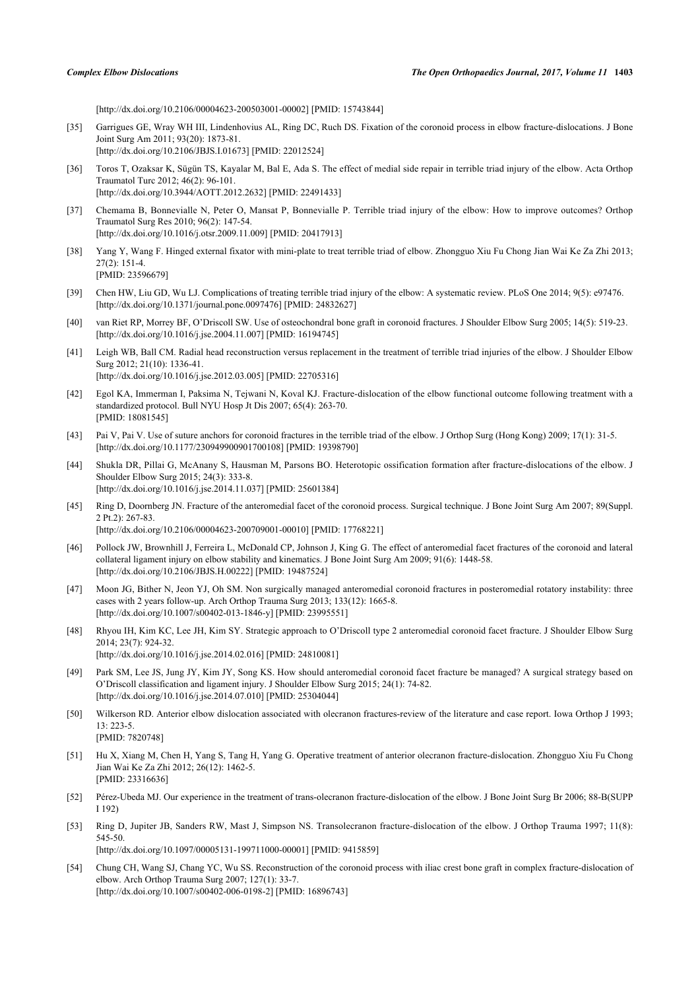[\[http://dx.doi.org/10.2106/00004623-200503001-00002](http://dx.doi.org/10.2106/00004623-200503001-00002)] [PMID: [15743844\]](http://www.ncbi.nlm.nih.gov/pubmed/15743844)

- <span id="page-9-0"></span>[35] Garrigues GE, Wray WH III, Lindenhovius AL, Ring DC, Ruch DS. Fixation of the coronoid process in elbow fracture-dislocations. J Bone Joint Surg Am 2011; 93(20): 1873-81. [\[http://dx.doi.org/10.2106/JBJS.I.01673](http://dx.doi.org/10.2106/JBJS.I.01673)] [PMID: [22012524](http://www.ncbi.nlm.nih.gov/pubmed/22012524)]
- <span id="page-9-1"></span>[36] Toros T, Ozaksar K, Sügün TS, Kayalar M, Bal E, Ada S. The effect of medial side repair in terrible triad injury of the elbow. Acta Orthop Traumatol Turc 2012; 46(2): 96-101. [\[http://dx.doi.org/10.3944/AOTT.2012.2632](http://dx.doi.org/10.3944/AOTT.2012.2632)] [PMID: [22491433\]](http://www.ncbi.nlm.nih.gov/pubmed/22491433)
- <span id="page-9-2"></span>[37] Chemama B, Bonnevialle N, Peter O, Mansat P, Bonnevialle P. Terrible triad injury of the elbow: How to improve outcomes? Orthop Traumatol Surg Res 2010; 96(2): 147-54. [\[http://dx.doi.org/10.1016/j.otsr.2009.11.009](http://dx.doi.org/10.1016/j.otsr.2009.11.009)] [PMID: [20417913\]](http://www.ncbi.nlm.nih.gov/pubmed/20417913)
- <span id="page-9-3"></span>[38] Yang Y, Wang F. Hinged external fixator with mini-plate to treat terrible triad of elbow. Zhongguo Xiu Fu Chong Jian Wai Ke Za Zhi 2013; 27(2): 151-4. [PMID: [23596679\]](http://www.ncbi.nlm.nih.gov/pubmed/23596679)
- <span id="page-9-4"></span>[39] Chen HW, Liu GD, Wu LJ. Complications of treating terrible triad injury of the elbow: A systematic review. PLoS One 2014; 9(5): e97476. [\[http://dx.doi.org/10.1371/journal.pone.0097476](http://dx.doi.org/10.1371/journal.pone.0097476)] [PMID: [24832627\]](http://www.ncbi.nlm.nih.gov/pubmed/24832627)
- <span id="page-9-5"></span>[40] van Riet RP, Morrey BF, O'Driscoll SW. Use of osteochondral bone graft in coronoid fractures. J Shoulder Elbow Surg 2005; 14(5): 519-23. [\[http://dx.doi.org/10.1016/j.jse.2004.11.007\]](http://dx.doi.org/10.1016/j.jse.2004.11.007) [PMID: [16194745](http://www.ncbi.nlm.nih.gov/pubmed/16194745)]
- <span id="page-9-6"></span>[41] Leigh WB, Ball CM. Radial head reconstruction versus replacement in the treatment of terrible triad injuries of the elbow. J Shoulder Elbow Surg 2012; 21(10): 1336-41. [\[http://dx.doi.org/10.1016/j.jse.2012.03.005\]](http://dx.doi.org/10.1016/j.jse.2012.03.005) [PMID: [22705316](http://www.ncbi.nlm.nih.gov/pubmed/22705316)]
- <span id="page-9-7"></span>[42] Egol KA, Immerman I, Paksima N, Tejwani N, Koval KJ. Fracture-dislocation of the elbow functional outcome following treatment with a standardized protocol. Bull NYU Hosp Jt Dis 2007; 65(4): 263-70. [PMID: [18081545\]](http://www.ncbi.nlm.nih.gov/pubmed/18081545)
- <span id="page-9-8"></span>[43] Pai V, Pai V. Use of suture anchors for coronoid fractures in the terrible triad of the elbow. J Orthop Surg (Hong Kong) 2009; 17(1): 31-5. [\[http://dx.doi.org/10.1177/230949900901700108\]](http://dx.doi.org/10.1177/230949900901700108) [PMID: [19398790](http://www.ncbi.nlm.nih.gov/pubmed/19398790)]
- <span id="page-9-9"></span>[44] Shukla DR, Pillai G, McAnany S, Hausman M, Parsons BO. Heterotopic ossification formation after fracture-dislocations of the elbow. J Shoulder Elbow Surg 2015; 24(3): 333-8. [\[http://dx.doi.org/10.1016/j.jse.2014.11.037\]](http://dx.doi.org/10.1016/j.jse.2014.11.037) [PMID: [25601384](http://www.ncbi.nlm.nih.gov/pubmed/25601384)]
- <span id="page-9-10"></span>[45] Ring D, Doornberg JN. Fracture of the anteromedial facet of the coronoid process. Surgical technique. J Bone Joint Surg Am 2007; 89(Suppl. 2 Pt.2): 267-83. [\[http://dx.doi.org/10.2106/00004623-200709001-00010](http://dx.doi.org/10.2106/00004623-200709001-00010)] [PMID: [17768221\]](http://www.ncbi.nlm.nih.gov/pubmed/17768221)
- <span id="page-9-11"></span>[46] Pollock JW, Brownhill J, Ferreira L, McDonald CP, Johnson J, King G. The effect of anteromedial facet fractures of the coronoid and lateral collateral ligament injury on elbow stability and kinematics. J Bone Joint Surg Am 2009; 91(6): 1448-58. [\[http://dx.doi.org/10.2106/JBJS.H.00222\]](http://dx.doi.org/10.2106/JBJS.H.00222) [PMID: [19487524](http://www.ncbi.nlm.nih.gov/pubmed/19487524)]
- <span id="page-9-12"></span>[47] Moon JG, Bither N, Jeon YJ, Oh SM. Non surgically managed anteromedial coronoid fractures in posteromedial rotatory instability: three cases with 2 years follow-up. Arch Orthop Trauma Surg 2013; 133(12): 1665-8. [\[http://dx.doi.org/10.1007/s00402-013-1846-y\]](http://dx.doi.org/10.1007/s00402-013-1846-y) [PMID: [23995551](http://www.ncbi.nlm.nih.gov/pubmed/23995551)]
- <span id="page-9-13"></span>[48] Rhyou IH, Kim KC, Lee JH, Kim SY. Strategic approach to O'Driscoll type 2 anteromedial coronoid facet fracture. J Shoulder Elbow Surg 2014; 23(7): 924-32. [\[http://dx.doi.org/10.1016/j.jse.2014.02.016\]](http://dx.doi.org/10.1016/j.jse.2014.02.016) [PMID: [24810081](http://www.ncbi.nlm.nih.gov/pubmed/24810081)]
- <span id="page-9-14"></span>[49] Park SM, Lee JS, Jung JY, Kim JY, Song KS. How should anteromedial coronoid facet fracture be managed? A surgical strategy based on O'Driscoll classification and ligament injury. J Shoulder Elbow Surg 2015; 24(1): 74-82. [\[http://dx.doi.org/10.1016/j.jse.2014.07.010\]](http://dx.doi.org/10.1016/j.jse.2014.07.010) [PMID: [25304044](http://www.ncbi.nlm.nih.gov/pubmed/25304044)]
- <span id="page-9-15"></span>[50] Wilkerson RD. Anterior elbow dislocation associated with olecranon fractures-review of the literature and case report. Iowa Orthop J 1993; 13: 223-5. [PMID: [7820748\]](http://www.ncbi.nlm.nih.gov/pubmed/7820748)
- <span id="page-9-16"></span>[51] Hu X, Xiang M, Chen H, Yang S, Tang H, Yang G. Operative treatment of anterior olecranon fracture-dislocation. Zhongguo Xiu Fu Chong Jian Wai Ke Za Zhi 2012; 26(12): 1462-5. [PMID: [23316636\]](http://www.ncbi.nlm.nih.gov/pubmed/23316636)
- <span id="page-9-17"></span>[52] Pérez-Ubeda MJ. Our experience in the treatment of trans-olecranon fracture-dislocation of the elbow. J Bone Joint Surg Br 2006; 88-B(SUPP I 192)
- <span id="page-9-18"></span>[53] Ring D, Jupiter JB, Sanders RW, Mast J, Simpson NS. Transolecranon fracture-dislocation of the elbow. J Orthop Trauma 1997; 11(8): 545-50.

[\[http://dx.doi.org/10.1097/00005131-199711000-00001](http://dx.doi.org/10.1097/00005131-199711000-00001)] [PMID: [9415859\]](http://www.ncbi.nlm.nih.gov/pubmed/9415859)

<span id="page-9-19"></span>[54] Chung CH, Wang SJ, Chang YC, Wu SS. Reconstruction of the coronoid process with iliac crest bone graft in complex fracture-dislocation of elbow. Arch Orthop Trauma Surg 2007; 127(1): 33-7. [\[http://dx.doi.org/10.1007/s00402-006-0198-2\]](http://dx.doi.org/10.1007/s00402-006-0198-2) [PMID: [16896743](http://www.ncbi.nlm.nih.gov/pubmed/16896743)]